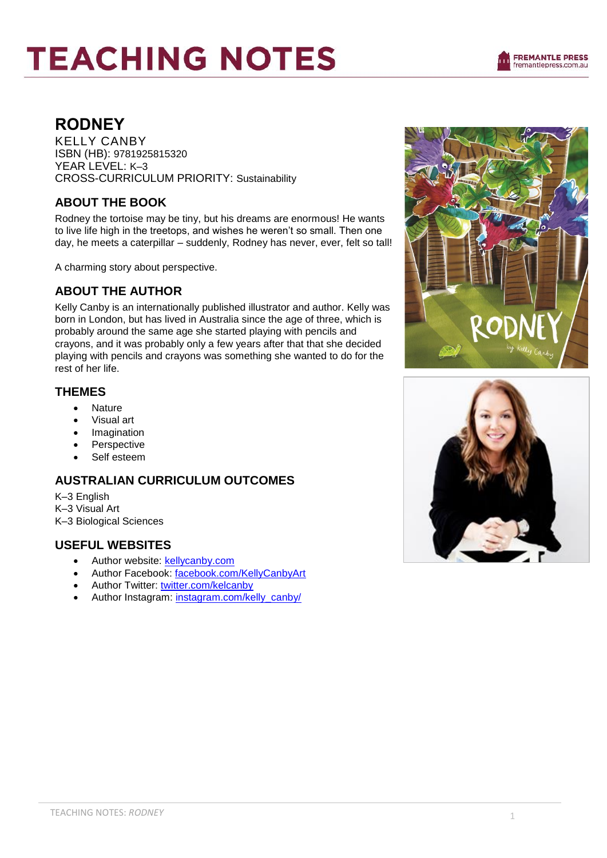# **TEACHING NOTES**



# **RODNEY**

KELLY CANBY ISBN (HB): 9781925815320 YEAR LEVEL: K–3 CROSS-CURRICULUM PRIORITY: Sustainability

## **ABOUT THE BOOK**

Rodney the tortoise may be tiny, but his dreams are enormous! He wants to live life high in the treetops, and wishes he weren't so small. Then one day, he meets a caterpillar – suddenly, Rodney has never, ever, felt so tall!

A charming story about perspective.

# **ABOUT THE AUTHOR**

Kelly Canby is an internationally published illustrator and author. Kelly was born in London, but has lived in Australia since the age of three, which is probably around the same age she started playing with pencils and crayons, and it was probably only a few years after that that she decided playing with pencils and crayons was something she wanted to do for the rest of her life.

#### **THEMES**

- Nature
- Visual art
- Imagination
- Perspective
- Self esteem

#### **AUSTRALIAN CURRICULUM OUTCOMES**

K–3 English K–3 Visual Art K–3 Biological Sciences

#### **USEFUL WEBSITES**

- Author website: [kellycanby.com](https://kellycanby.com/)
- Author Facebook: [facebook.com/KellyCanbyArt](https://www.facebook.com/KellyCanbyArt)
- Author Twitter: [twitter.com/kelcanby](https://twitter.com/kelcanby)
- Author Instagram: [instagram.com/kelly\\_canby/](https://www.instagram.com/kelly_canby/)